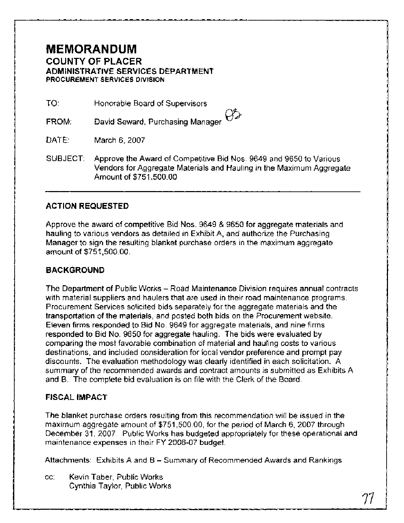# **MEMORANDUM COUNTY OF PLACER ADMINISTRATIVE SERVICES DEPARTMENT PROCUREMENT SERVICES DIVISION**

TO: Honorable Board of Supervisors

David Seward, Purchasing Manager FROM:

DATE: March 6, 2007

SUBJECT: Approve the Award of Competitive Bid Nos. 9649 and 9650 to Various Vendors for Aggregate Materials and Hauling in the Maximum Aggregate Amount of \$751,500.00

# **ACTION REQUESTED**

Approve the award of competitive Bid Nos. 9649 & 9650 for aggregate materials and hauling to various vendors as detailed in Exhibit A, and authorize the Purchasing Manager to sign the resulting blanket purchase orders in the maximum aggregate amount of \$751,500.00.

# **BACKGROUND**

The Department of Public Works - Road Maintenance Division requires annual contracts with material suppliers and haulers that are used in their road maintenance programs. Procurement Services solicited bids separately for the aggregate materials and the transportation of the materials, and posted both bids on the Procurement website. Eleven firms responded to Bid No. 9649 for aggregate materials, and nine firms responded to Bid No. 9650 for aggregate hauling. The bids were evaluated by comparing the most favorable combination of material and hauling costs to various destinations, and included consideration for local vendor preference and prompt pay discounts. The evaluation methodology was clearly identified in each solicitation. A summary of the recommended awards and contract amounts is submitted as Exhibits A and B. The complete bid evaluation is on file with the Clerk of the Board.

# **FISCAL IMPACT**

The blanket purchase orders resulting from this recommendation will be issued in the maximum aggregate amount of \$751,500.00, for the period of March 6, 2007 through December 31, 2007. Public Works has budgeted appropriately for these operational and maintenance expenses in their FY 2006-07 budget.

Attachments: Exhibits A and B - Summary of Recommended Awards and Rankings

cc: Kevin Taber, Public Works Cynthia Taylor, Public Works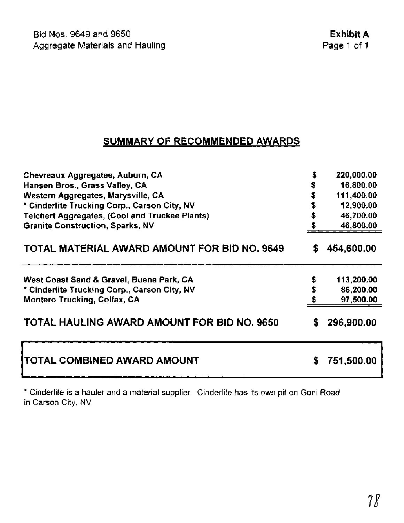# **SUMMARY OF RECOMMENDED AWARDS**

| Chevreaux Aggregates, Auburn, CA                    |    | 220,000.00 |
|-----------------------------------------------------|----|------------|
| Hansen Bros., Grass Valley, CA                      |    | 16,800.00  |
| Western Aggregates, Marysville, CA                  |    | 111,400.00 |
| * Cinderlite Trucking Corp., Carson City, NV        |    | 12,900.00  |
| Teichert Aggregates, (Cool and Truckee Plants)      |    | 46,700.00  |
| <b>Granite Construction, Sparks, NV</b>             |    | 46,800.00  |
| <b>TOTAL MATERIAL AWARD AMOUNT FOR BID NO. 9649</b> | S  | 454,600.00 |
| West Coast Sand & Gravel, Buena Park, CA            |    | 113,200.00 |
| * Cinderlite Trucking Corp., Carson City, NV        | \$ | 86,200.00  |
| Montero Trucking, Colfax, CA                        |    | 97,500.00  |
| TOTAL HAULING AWARD AMOUNT FOR BID NO. 9650         | S  | 296,900.00 |
| TOTAL COMBINED AWARD AMOUNT                         | S  | 751,500.00 |

\* Cinderlite is a hauler and a material supplier. Cinderlite has its own pit on Goni Road in Carson City, NV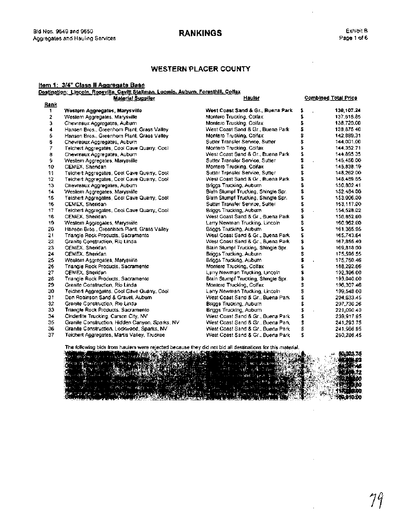# **RANKINGS**

l,

# **WESTERN PLACER COUNTY**

|             |                                                                                              | <b>WESTERN PLACER COUNTY</b>        |                            |                             |
|-------------|----------------------------------------------------------------------------------------------|-------------------------------------|----------------------------|-----------------------------|
|             | em 1: 3/4" Class II Aggregate Base                                                           |                                     |                            |                             |
|             | estination:  Lincoln, Roşeyill <u>e, Çavitt Stallman, Loomis, Auburn, Foresthill, Colfax</u> |                                     |                            |                             |
|             | <b>Material Supplier</b>                                                                     | <b>Hauler</b>                       |                            | <b>Combined Total Price</b> |
| <u>Rank</u> |                                                                                              |                                     |                            |                             |
| 1           | Western Aggregates, Marysville                                                               | West Coast Sand & Gr., Buena Park   | \$<br>$\mathbf{r}$         | 130,107.24                  |
| 2           | Westem Aggregates, Marysville                                                                | Montero Trucking, Colfax            | \$                         | 137,618.85                  |
| з           | Chevreaux Aggregates, Aubum                                                                  | Montero Trucking, Colfax            | \$                         | 138,720.00                  |
| 4           | Hansen Bros., Greenhom Plant, Grass Valley.                                                  | West Coast Sand & Gr., Buena Park   | \$                         | 138,875.40                  |
| 5           | Hansen Bros., Greenhorn Plant, Grass Valley                                                  | Montero Trucking, Colfax            | \$                         | 142.889.31                  |
| 6           | Chevreaux Aggregates, Aubum                                                                  | Sutter Transfer Service, Sutter     | \$                         | 144,001.00                  |
| 7           | Teichert Aggregates, Cool Cave Quarry, Cool                                                  | Montero Trucking, Colfax            | \$                         | 144.352.71                  |
| 8           | Chevreaux Aggregates, Aubum                                                                  | West Coast Sand & Gr., Buena Park   | \$                         | 144.895.35                  |
| 9           | Western Aggregates, Marysville                                                               | Sutter Transfer Service, Sutter     | \$<br>$\ddot{\phantom{a}}$ | 145,450.00                  |
| 10          | CEMEX, Sheridan                                                                              | Montero Trucking, Colfax            | \$                         | 145,838.19                  |
| 11          | Teichert Aggregates, Cool Cave Quarry, Cool                                                  | Sutter Transfer Service, Sutter     | \$                         | 148,262.00                  |
| 12          | Teichert Aggregates, Cool Cave Quarry, Cool                                                  | West Coast Sand & Gr., Buena Park   | \$                         | 148,489.65                  |
| 13          | Chevreaux Aggregates, Aubum                                                                  | Briggs Trucking, Aubum              | \$                         | 150,802.41                  |
| 14          | Western Aggregates, Marysville                                                               | Blain Stumpf Trucking, Shingle Spr. | \$                         | 152.484.00                  |
| 15          | Teichert Aggregates, Cool Cave Quarry, Cool                                                  | Blain Stumpf Trucking, Shingle Spr. | \$                         | 153,006.00                  |
| 16          | CEMEX, Sheridan                                                                              | Sutter Transfer Service, Sutter     | \$                         | 153,117.00                  |
| 17          | Teichert Aggregates, Cool Cave Quarry, Cool                                                  | <b>Briggs Trucking, Auburn</b>      | \$<br>÷,                   | 154,528.02                  |
| 18          | CEMEX, Sheridan                                                                              | West Coast Sand & Gr., Buena Park   | \$                         | 156,852.60                  |
| 19          | Western Aggregates, Marysville                                                               | Larry Newman Trucking, Lincoln      | \$                         | 160.962.00                  |
| 20          | Hansen Bros., Greenhorn Plant, Grass Valley                                                  | Briggs Trucking, Aubum              | \$                         | 161,365.95                  |
| 21          | Triangle Rock Products, Sacramento                                                           | West Coast Sand & Gr., Buena Park   | \$                         | 165.743.64                  |
| 22          | Granite Construction, Rio Linda                                                              | West Coast Sand & Gr., Buena Park   | \$                         | 167,855.40                  |
| 23          | CEMEX, Sheridan                                                                              | Blain Slumpf Trucking, Shingle Spr. | \$                         | 169,818.00                  |
| 24          | CEMEX, Sheridan                                                                              | Briggs Trucking, Auburn             | \$                         | 175,595.55                  |
| 25          | Weslem Aggregates, Marysville                                                                | Briggs Trucking, Aubum              | \$<br>$\ddot{\phantom{a}}$ | 175,760.46                  |
| 26          | Triangle Rock Products, Sacramento                                                           | Montero Trucking, Colfax            | \$                         | 188,292.66                  |
| 27          | CEMEX, Sheridan                                                                              | Larry Newman Trucking, Lincoln      | \$                         | 192,396.00                  |
| 28          | Triangle Rock Products, Sacramento                                                           | Blain Stumpf Trucking, Shingle Spr. | \$                         | 193,040.00                  |
| 29          | Granite Construction, Rio Linda                                                              | Montero Trucking, Colfax            | \$                         | 196,307.46                  |
| 30          | Teichert Aggregates, Cool Cave Quarry, Cool                                                  | Larry Newman Trucking, Lincoln      | \$                         | 199,548.00                  |
| 31          | Don Robinson Sand & Gravel, Aubum                                                            | West Coast Sand & Gr., Buena Park   | s<br>\$                    | 204,633.45                  |
| 32          | Granile Construction, Rio Linda                                                              | Briggs Trucking, Aubum              |                            | 207,730.26                  |
| 33          | Triangle Rock Products, Sacramento                                                           | Briggs Trucking, Auburn             | \$                         | 221,090.40                  |
| 34          | Cinderlite Trucking, Carson City, NV                                                         | West Coast Sand & Gr., Buena Park   | \$                         | 239,917.95                  |
| 35          | Granite Construction, Hidden Canyon, Sparks, NV                                              | West Coast Sand & Gr., Buena Park   | \$                         | 241,293.75                  |
| 36          | Granite Construction, Lockwood, Sparks, NV                                                   | West Coast Sand & Gr., Buena Park   | \$                         | 241,966.95                  |
| 37          | Teichert Aggregates, Martis Valley, Truckee                                                  | West Coast Sand & Gr., Buena Park   | Ŧ,                         | 260,286.45                  |

The following bids from haulers were rejected because they did not bid all destinations for this material.

| <b>A PARTIES IN THE REAL PROPERTY OF A PROPERTY OF A PROPERTY OF A PROPERTY OF A PROPERTY OF A PROPERTY</b><br><b>AND RESIDENCE</b> | 60.023.75     |
|-------------------------------------------------------------------------------------------------------------------------------------|---------------|
|                                                                                                                                     |               |
|                                                                                                                                     |               |
| 心 医一种性欲的                                                                                                                            |               |
|                                                                                                                                     |               |
|                                                                                                                                     |               |
|                                                                                                                                     |               |
|                                                                                                                                     |               |
| the company of the second company of the company of the company of the company of the company of the company of                     | OK STATISTICS |
|                                                                                                                                     | 66,910.00     |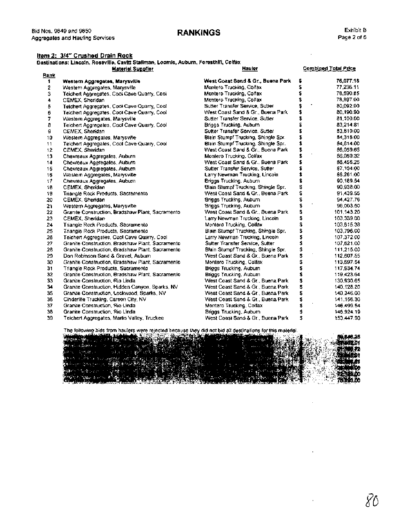# **RANKINGS Exhibit B**

 $\bar{z}$ 

÷,

 $\bar{.}$ 

# **Item 2: 314"** Crushed Drain Rock

|              | l Nos, 9649 and 9650.<br>gregates and Hauling Services                                                                          | <b>RANKINGS</b>                                                          |          | Exhibit<br>Page 2 of        |
|--------------|---------------------------------------------------------------------------------------------------------------------------------|--------------------------------------------------------------------------|----------|-----------------------------|
|              | <u>tem 2:  3/4" Crushed Drain Rock</u><br>)estinations: Lincoln, Roseville, Cavitt Stallman, Loomis, Auburn, Foresthifi, Colfax |                                                                          |          |                             |
|              | <b>Material Supplier</b>                                                                                                        | <b>Hauler</b>                                                            |          | <b>Combined Total Price</b> |
| <u>Rank</u>  |                                                                                                                                 |                                                                          |          |                             |
| $\mathbf{1}$ | Western Aggregates, Marysville                                                                                                  | West Coast Sand & Gr., Buena Park                                        | s        | 76,077.18                   |
| 2            | Western Aggregates, Marysville                                                                                                  | Montero Trucking, Colfax                                                 | \$       | 77,236.11                   |
| з            | Teichert Aggregates, Cool Cave Quarry, Cool                                                                                     | Montero Trucking, Colfax                                                 | \$       | 78,590.85                   |
| 4            | CEMEX, Sheridan                                                                                                                 | Montero Trucking, Colfax                                                 | Ś,       | 78,897.00                   |
| 5            | Teichert Aggregates, Cool Cave Quarry, Cool                                                                                     | Sutter Transfer Service, Sutter                                          | \$       | 80.092.00                   |
| 6            | Teichert Aggregates, Cool Cave Quarry, Cool                                                                                     | West Coast Sand & Gr., Buena Park                                        | \$       | 80,190.90                   |
| 7            | Western Aggregates, Marysville                                                                                                  | Sutter Transfer Service, Sutter                                          | \$       | 81.100.00                   |
| 8            | Teichert Aggregates, Cool Cave Quarry, Cool                                                                                     | Briggs Trucking, Auburn                                                  | \$       | 83,214.81                   |
| 9            | CEMEX, Sheridan                                                                                                                 | Sutter Transfer Service, Sutter                                          | \$       | 83,810.00                   |
| 10           | Western Aggregates, Marysville                                                                                                  | Blain Stumpf Trucking, Shingle Spr.                                      | \$       | 84,316.00                   |
| 11           | Teichert Aggregates, Cool Cave Quarry, Cool                                                                                     | Blain Stumpf Trucking, Shingle Spr.                                      | \$       | 84,814.00                   |
| 12           | CEMEX, Sheridan                                                                                                                 | West Coast Sand & Gr., Buena Park                                        | \$<br>\$ | 86,059.65                   |
| 13           | Chevreaux Aggregates, Auburn                                                                                                    | Montero Trucking, Colfax                                                 |          | 86,080.32                   |
| 14           | Chevreaux Aggregates, Auburn                                                                                                    | West Coast Sand & Gr., Buena Park                                        | \$       | 86.456.25                   |
| 15           | Chevreaux Aggregates, Auburn                                                                                                    | Sutter Transfer Service, Sutter                                          | \$       | 87,104.00                   |
| 16           | Western Aggregates, Marysville                                                                                                  | Larry Newman Trucking, Lincoln                                           | \$       | 88.261.00                   |
| 17           | Chevreaux Aggregates, Aubum                                                                                                     | Briggs Trucking, Auburn                                                  | \$       | 90,189.54                   |
| 18           | CEMEX, Sheridan                                                                                                                 | Blain Stumpf Trucking, Shingle Spr.                                      | \$<br>\$ | 90.938.00                   |
| 19           | Triangle Rock Products, Sacramento                                                                                              | West Coast Sand & Gr., Buena Park                                        | \$       | 91.439.55                   |
| 20<br>21     | CEMEX, Sheridan                                                                                                                 | <b>Briggs Trucking, Auburn</b>                                           | \$       | 94.427.76<br>96.003.50      |
| 22           | Western Aggregates, Marysville                                                                                                  | Briggs Trucking, Auburn<br>West Coast Sand & Gr., Buena Park             |          |                             |
|              | Granite Construction, Bradshaw Plant, Sacramento                                                                                |                                                                          | \$       | 101.143.20<br>103,339.00    |
| 23           | CEMEX, Sheridan                                                                                                                 | Larry Newman Trucking, Lincoln,                                          | \$       |                             |
| 24           | Triangle Rock Products, Sacramento                                                                                              | Montero Trucking, Colfax                                                 | \$       | 103,615.38                  |
| 25           | Triangle Rock Products, Sacramento                                                                                              | Blain Stumpf Trucking, Shingle Spr.                                      | \$       | 103,796.00                  |
| 26           | Teichert Aggregates, Cool Cave Quarry, Cool                                                                                     | Larry Newman Trucking, Lincoln                                           | \$<br>\$ | 107.372.00                  |
| 27<br>28.    | Granite Construction, Bradshaw Plant, Sacramento                                                                                | Sulter Transfer Service, Sulter                                          | \$       | 107,621.00                  |
| 29           | Granite Construction, Bradshaw Plant, Sacramento                                                                                | Blain Stumpf Trucking, Shingle Spr.<br>West Coast Sand & Gr., Buena Park |          | 111,215.00<br>112,607.55    |
| 30           | Don Robinson Sand & Gravel, Aubum                                                                                               |                                                                          | \$       |                             |
| 31           | Granite Construction, Bradshaw Plant, Sacramento                                                                                | Montero Trucking, Colfax                                                 | \$<br>\$ | 113,697.54                  |
| 32           | Triangle Rock Products, Sacramento                                                                                              | Briggs Trucking, Auburn                                                  | \$       | 117,934.74                  |
| 33           | Granite Construction, Bradshaw Plant, Sacramento<br>Granite Construction, Rio Linda                                             | Briggs Trucking, Aubum<br>West Coast Sand & Gr., Buena Park              | \$       | 119.423.64<br>130,930.65    |
| 34           |                                                                                                                                 |                                                                          |          |                             |
| 35           | Granite Construction, Hidden Canyon, Sparks, NV<br>Granite Construction, Lockwood, Sparks, NV                                   | West Coast Sand & Gr., Buena Park<br>West Coast Sand & Gr., Buena Park   | \$<br>\$ | 140,128.20<br>140,346.00    |
| 36           | Cinderlite Trucking, Carson City, NV                                                                                            | West Coast Sand & Gr., Buena Park                                        | \$       | 141,156.30                  |
| 37           | Granite Construction, Rio Linda                                                                                                 | Montero Trucking, Colfax                                                 | \$       | 146.499.54                  |
| 38           | Granite Construction, Rio Linda                                                                                                 | Briggs Trucking, Auburn                                                  | \$       | 146.924.19                  |
| 39           | Teichert Aggregates, Martis Valley, Truckee                                                                                     | West Coast Sand & Gr., Buena Park                                        | \$       | 153.447.90                  |
|              |                                                                                                                                 |                                                                          |          |                             |

The following bids from haulers were rejected because they did not bid all destinations for this material.

| <b>THE MEDIAN SERVICE</b> |                   |                         |  |
|---------------------------|-------------------|-------------------------|--|
|                           |                   |                         |  |
|                           |                   |                         |  |
|                           |                   |                         |  |
|                           |                   |                         |  |
|                           |                   |                         |  |
|                           |                   |                         |  |
|                           |                   |                         |  |
| <b>GOOD COMPANY</b>       |                   |                         |  |
|                           |                   |                         |  |
|                           |                   |                         |  |
|                           |                   |                         |  |
|                           |                   |                         |  |
|                           |                   |                         |  |
|                           |                   |                         |  |
|                           |                   |                         |  |
|                           |                   |                         |  |
|                           |                   |                         |  |
|                           |                   |                         |  |
|                           |                   |                         |  |
|                           |                   |                         |  |
| 19 Rash Mili              | المستحقق المتعاقص | 人名英格兰人姓氏英格兰人名称来源于古英语含义是 |  |
|                           |                   |                         |  |
|                           |                   |                         |  |
|                           |                   |                         |  |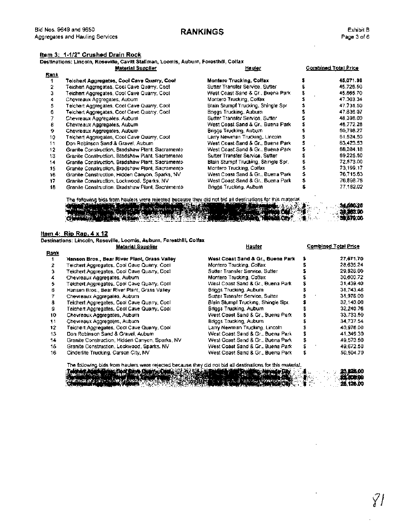## **Item 3: 1-112" Crushed Drain Rock**

|      | Destinations: Lìncoln, Rosevìlle, Cavìtt Stallman, Loomis, Auburn, Foresthill, Colfax<br><b>Material Supplier</b> | <b>Hauler</b>                       | <b>Combined Total Price</b> |
|------|-------------------------------------------------------------------------------------------------------------------|-------------------------------------|-----------------------------|
| Rank |                                                                                                                   |                                     |                             |
| 1    | Telchert Aggregates, Cool Cave Quarry, Cool                                                                       | <b>Montero Trucking, Colfax</b>     | 45,071.96                   |
| 2    | Teichert Aggregates, Cool Cave Quarry, Cool                                                                       | Sutter Transfer Service, Sutter     | 45.726.50                   |
| 3    | Teichert Aggregates, Cool Cave Quarry, Cool                                                                       | West Coast Sand & Gr., Buena Park   | 45,865.70                   |
| 4    | Chevreaux Aggregates, Aubum                                                                                       | Montero Trucking, Colfax            | 47.303.34                   |
| 5    | Teichert Aggregates, Cool Cave Quarry, Cool                                                                       | Blain Slumpf Trucking, Shingle Spr. | 47.731.50                   |
| 6    | Teichert Aggregates, Coo! Cave Quarry, Cool                                                                       | Briggs Trucking, Auburn             | 47.836.07                   |
|      | Chevreaux Aggregales, Aubum                                                                                       | Sutter Transfer Service, Sutter     | 48.398.00                   |
| 8    | Chevreaux Aggregates, Aubum                                                                                       | West Coast Sand & Gr., Buena Park   | 48.772.28                   |
| 9    | Chevreaux Aggregates, Aubum                                                                                       | Briggs Trucking, Auburn             | 50,798.27                   |
| 10   | Telchert Aggregates, Cool Cave Quarry, Cool                                                                       | Larry Newman Trucking, Lincoln,     | 61.524.50                   |
| 11   | Don Robinson Sand & Gravel, Auburn                                                                                | West Coast Sand & Gr., Buena Park   | 63,423.53                   |
| 12   | Granile Construction, Bradshaw Plant, Sacramento                                                                  | West Coast Sand & Gr., Buena Park   | 66,384.18                   |
| 13   | Granite Construction, Bradshaw Plant, Sacramento                                                                  | Sutter Transfer Service, Sutter     | 69.225.50                   |
| 14   | Granite Construction, Bradshaw Plant, Sacramento                                                                  | Blain Stumpf Trucking, Shingle Spr. | 72,573.00                   |
| 15   | Granite Construction, Bradshaw Plant, Sacramento                                                                  | Montero Trucking, Colfax            | 73.199.17                   |
| 16   | Granite Construction, Hidden Canyon, Sparks, NV                                                                   | West Coast Sand & Gr., Buena Park   | 76,715.63                   |
| 17   | Granite Construction, Lockwood, Sparks, NV                                                                        | West Coast Sand & Gr., Buena Park   | 76.898.78                   |
| 18   | Granite Construction, Bradshaw Plant, Sacramento,                                                                 | Briggs Trucking, Auburn,            | 77,182.02                   |

The following bids from haulers were rejected because they did not bid all destinations for this material contract the supplier of the supplier of the supplier of the material contract of the supplier Hauler of the materia 34.590.20 o PL 00 370.00

#### **Itern 4: Rip Rap. 4 x 12**

|      | iestinations: Lincoln, Roseville, Loomis, Auburn, Foresthill, Colfax |                                     | <b>Combined Total Price</b> |
|------|----------------------------------------------------------------------|-------------------------------------|-----------------------------|
| Rank | <b>Material Supplier</b>                                             | Hauter                              |                             |
|      | Hansen Bros., Bear River Plant, Grass Valley                         | West Coast Sand & Gr., Buena Park   | 27,671.70                   |
| 2    | Teichert Aggregates, Cool Cave Quarry, Cool                          | Montero Trucking, Colfax            | 28.635.24                   |
| з    | Teichert Aggregates, Cool Cave Quarry, Cool                          | Sulter Transfer Service, Sulter     | 29,826.00                   |
|      | Chevreaux Aggregates, Aubum                                          | Montero Trucking, Colfax            | 30,600.72                   |
| 5    | Teichert Aggregates, Cool Cave Quarry, Cool                          | Wesl Coast Sand & Gr., Buena Park   | 31,439.40                   |
| 6    | Hansen Bros., Bear River Plant, Grass Valley.                        | Briggs Trucking, Aubum              | 31.743.48                   |
| 7    | Chevreaux Aggregates, Auburn                                         | Sutter Transfer Service, Sutter     | 31,976.00                   |
| 8    | Teichert Aggregates, Cool Cave Quarry, Cool                          | Blain Stumpf Trucking, Shingle Spr. | 32,140.00                   |
| g    | Teichert Aggregates, Cool Cave Quarry, Cool                          | Briggs Trucking, Aubum              | 32,240.76                   |
| 10   | Chevreaux Aggregates, Aubum                                          | West Coast Sand & Gr., Buena Park   | 33.733.50                   |
| 11   | Chevreaux Aggregates, Auburn                                         | Briggs Trucking, Auburn             | 34,737.54                   |
| 12   | Teichert Aggregates, Cool Cave Quarry, Cool.                         | Larry Newman Trucking, Lincoln,     | 40,976.00                   |
| 13   | Don Robinson Sand & Gravel, Aubum.                                   | West Coast Sand & Gr., Buena Park   | 41,349.30                   |
| 14   | Granite Construction, Hidden Canyon, Sparks, NV                      | West Coast Sand & Gr., Buena Park   | 49.573.50                   |
| 15   | Granite Construction, Lockwood, Sparks, NV                           | West Coast Sand & Gr., Buena Park   | 49,672.50                   |
| 16   | Cinderlite Trucking, Carson City, NV                                 | West Coast Sand & Gr., Buena Park   | 50.504.70                   |

The following bids from haulers were rejected because they did not bid all destinations for this material:<br>**i**<br>all the interventions for the product of the interventions of the intervention of the intervention of the inter  $\mathbb{S}^{\bullet}_{\mathbb{C}}$ 25.126.00

in na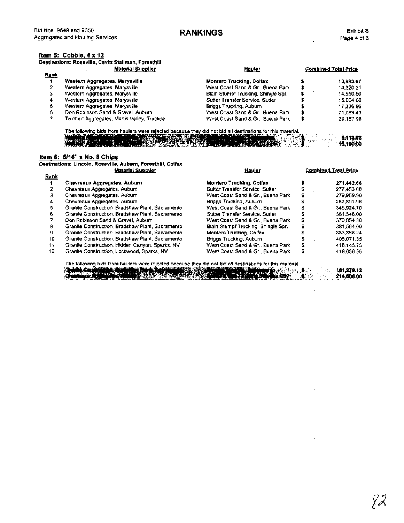# **RANKINGS**

### **ltem 5: Cobble, 4 x 12**

|             | tem 5:  Cobble, 4 x 12<br>lestinations: Roseville, Cavitt Stallman, Foresthill |                                     |   |                             |
|-------------|--------------------------------------------------------------------------------|-------------------------------------|---|-----------------------------|
|             | Material Supplier                                                              | Hauler                              |   | <b>Combined Total Price</b> |
| <u>Rank</u> |                                                                                |                                     |   |                             |
|             | Western Aggregates, Marysville                                                 | <b>Montero Trucking, Colfax</b>     |   | 13,683.67                   |
| 2           | Western Aggregates, Marysville                                                 | West Coast Sand & Gr., Buena Park   | s | 14.320.21                   |
| з           | Western Aggregates, Marysville                                                 | Blain Stumpf Trucking, Shingle Spr. |   | 14,550.50                   |
| 4           | Western Aggregates, Marysville                                                 | Sutter Transfer Service, Sutter     |   | 15,004.00                   |
| 6           | Western Aggregates, Marysville                                                 | Briggs Trucking, Auburn             |   | 17.336.56                   |
| 6           | Don Robinson Sand & Gravel, Aubum.                                             | West Coast Sand & Gr., Buena Park   |   | 21,089.43                   |
|             | Teichert Aggregates, Martis Valley, Truckee                                    | West Coast Sand & Gr., Buena Park   |   | 29.187.98                   |

The following bids from haulers were rejected because they did not bid all destinations for this material.<br>
We have a second that the state of the state of the state of the state of the state of the state of the state of t . . , . . **6i113.03**  SO 184 **16,100.00** 

#### <u>ltem 6: 5/16" x No. 8 Chips</u>

Destinations: Lincoln, Roseville, Auburn, Foresthill, Colfax **Material Supplier** 1999<br>- <u>Rank</u><br>- Rank<br>- Tank<br>- Tank Rank<br>1 Chevreaux Aggregates, Auburn

- 
- 2 Chevreaux Aggregates, Aubum<br>3 Chevreaux Aggregates, Aubum Chevreaux Aggregates, Auburn
- 4 Chevreaux Aggregates, Auburn
- 
- 5 Granite Construction, Bradshaw Plant, Sacramento
- **6** Granite Construction, Bradshaw Plant, Sacramento
- **7** Don Robinson Sand & Gravel, Auburn
- **8** Granite Construction, Bradshaw Plant, Sacramento
- **9** Granite Construction, Bradshaw Plant, Sacramento 10 Granite Construction, Bradshaw Plant, Sacramento
- 
- 11 Granite Construction, Hidden Canyon, Sparks, NV<br>12 Granite Construction, Lockwood, Sparks, NV
- **12** Granite Construction, Lockwood, Sparks, NV

| <u></u>                             |   | <b>POINT AND LONGET 1700</b> |
|-------------------------------------|---|------------------------------|
| Montero Trucking, Colfax            |   | 271.442.66                   |
| Sulter Transfer Service, Sulter     | S | 277.453.00                   |
| West Coast Sand & Gr., Buena Park   |   | 279,959.90                   |
| Briggs Trucking, Aubum              |   | 287.891.96                   |
| West Coast Sand & Gr., Buena Park   |   | 345.924.70                   |
| Sutter Transfer Service, Sutter     |   | 361.546.00                   |
| West Coast Sand & Gr., Buena Park   |   | 370.054.30                   |
| Blain Stumpf Trucking, Shingle Spr. |   | 381.564.00                   |
| Montero Trucking, Colfax            |   | 383.368.24                   |
| Briggs Trucking, Auburn             |   | 405,071.35                   |
| West Coast Sand & Gr., Buena Park   |   | 418.145.75                   |
| West Coast Sand & Gr., Buena Park   |   | 419.056.55                   |

The following bids from haulers were rejected because they did not bid all destinations for this material.<br>  $\frac{1}{2}$  and  $\frac{1}{2}$  and  $\frac{1}{2}$  and  $\frac{1}{2}$  and  $\frac{1}{2}$  and  $\frac{1}{2}$  and  $\frac{1}{2}$  and  $\frac{1}{2}$  and italik)

181.279.12 214,608.00

Combined Total Price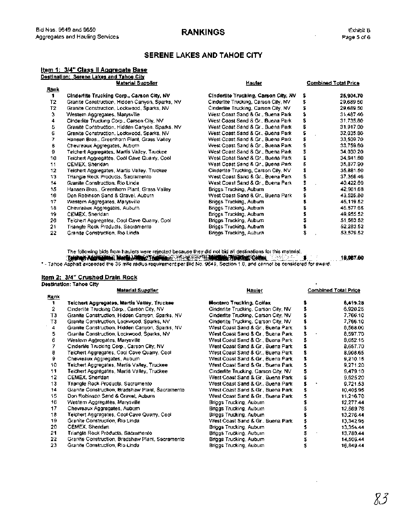# **RANKINGS**

÷,

# **SERENE LAKES AND TAHOE CITY**

|              |                                                 | <b>SERENE LAKES AND TAHOE CITY</b>   |    |                             |
|--------------|-------------------------------------------------|--------------------------------------|----|-----------------------------|
|              | <u>item 1: 3/4" Class II Aggregate Base</u>     |                                      |    |                             |
|              | Destination: Serene Lakes and Tahoe City        |                                      |    |                             |
|              | <b>Material Supplier</b>                        | Hauter                               |    | <b>Combined Total Price</b> |
| <u>Rank</u>  |                                                 |                                      |    |                             |
| $\mathbf{1}$ | Cinderlite Trucking Corp., Carson City, NV      | Cinderlite Trucking, Carson City, NV |    | 25,904.70                   |
| Τ2           | Granite Construction, Hidden Canyon, Sparks, NV | Cinderlite Trucking, Carson City, NV | \$ | 29,689 50                   |
| Τ2           | Granite Construction, Lockwood, Sparks, NV      | Cinderlite Trucking, Carson City, NV | \$ | 29,689.50                   |
| з            | Western Aggregates, Marysville                  | West Coast Sand & Gr., Buena Park    | \$ | 31,487.40                   |
| 4            | Cinderlite Trucking Corp., Carson City, NV      | West Coast Sand & Gr., Buena Park    | s  | 31,735.80                   |
| 5            | Granite Construction, Hidden Canyon, Sparks, NV | West Coast Sand & Gr., Buena Park    | \$ | 31,917.00                   |
| 6            | Granite Construction, Lockwood, Sparks, NV      | West Coast Sand & Gr., Buena Park    | \$ | 32.035.80                   |
| 7            | Hansen Bros., Greenhorn Plant, Grass Valley     | West Coast Sand & Gr., Buena Park    | \$ | 33,509.70                   |
| в            | Chevreaux Aggregates, Aubum                     | West Coast Sand & Gr., Buena Park    | s  | 33.759.60                   |
| a            | Teichert Aggregates, Martis Valley, Truckee     | West Coast Sand & Gr., Buena Park    | \$ | 34.030.20                   |
| 10           | Teichert Aggregates, Cool Cave Quarry, Cool     | West Coast Sand & Gr., Buena Park    | s  | 34,941.60                   |
| 11           | CEMEX, Sheridan                                 | West Coast Sand & Gr., Buena Park    | S  | 35,877.90                   |
| 12           | Teichert Aggregates, Martis Valley, Truckee     | Cinderlite Trucking, Carson City, NV | s  | 35,881.50                   |
| 13           | Triangle Rock Products, Sacramento              | West Coast Sand & Gr., Buena Park    | ŝ. | 37,358.46                   |
| 14           | Granite Construction, Rio Linda                 | West Coast Sand & Gr., Buena Park    |    | 40,422.60                   |
| 15           | Hansen Bros., Greenhorn Plant, Grass Valley     | Briggs Trucking, Aubum               |    | 42.961.68                   |
| 16           | Don Robinson Sand & Gravel, Auburn              | West Coast Sand & Gr., Buena Park    |    | 43.525.80                   |
| 17           | Western Aggregates, Marysville.                 | Briggs Trucking, Auburn              |    | 45,119.52                   |
| 18           | Chevreaux Aggregates, Auburn                    | Briggs Trucking, Auburn              | s  | 45,577.68                   |
| 19           | CEMEX, Sheridan                                 | Briggs Trucking, Auburn              |    | 49,955.52                   |
| 20           | Teichert Aggregates, Cool Cave Quarry, Cool     | Briggs Trucking, Auburn              | \$ | 51.563.52                   |
| 21           | Triangle Rock Products, Sacramento              | Briggs Trucking, Auburn              | S  | 52,283.52                   |
| 22           | Granite Construction, Rio Linda                 | Briggs Trucking, Auburn              | s  | 53,579.52                   |

## **ltem 2: 314" Crushed Drain Rock**

|                   | ltern 2:  3/4" Crushed Drain Rock                |                                      |          |                             |
|-------------------|--------------------------------------------------|--------------------------------------|----------|-----------------------------|
|                   | Destination: Tahoe City                          |                                      |          |                             |
|                   | <b>Material Supplier</b>                         | <u>Hauler</u>                        |          | <b>Combined Total Price</b> |
| <b>Rank</b><br>1. |                                                  | <b>Montero Trucking, Colfax</b>      |          | 6,419.28                    |
| $\overline{2}$    | Teichert Aggregates, Martis Valley, Truckee      |                                      | 5<br>\$  | 6.920.25                    |
|                   | Cinderlite Trucking Corp., Carson City, NV       | Cinderlite Trucking, Carson City, NV |          | 7.766.10                    |
| TЗ                | Granite Construction, Hidden Canyon, Sparks, NV  | Cinderlite Trucking, Carson City, NV | \$       |                             |
| T3                | Granite Construction, Lockwood, Sparks, NV       | Cinderlite Trucking, Carson City, NV | \$<br>\$ | 7,766.10                    |
| 4                 | Granite Construction, Hidden Canyon, Sparks, NV  | West Coast Sand & Gr., Buena Park    | \$       | 8,568.00                    |
| 5                 | Granite Construction, Lockwood, Sparks, NV       | West Coast Sand & Gr., Buena Park    |          | 8,597.70                    |
| 6                 | Western Aggregates, Marysville                   | West Coast Sand & Gr., Buena Park    | \$       | 8,652.15                    |
| 7                 | Cinderlife Trucking Corp., Carson City, NV       | West Coast Sand & Gr., Buena Park    | \$       | 8,657.70                    |
| 8                 | Teichert Aggregates, Cool Cave Quarry, Cool      | West Coast Sand & Gr., Buena Park    | \$       | 8,908.65                    |
| ġ.                | Chevreaux Aggregates, Aubum                      | West Coast Sand & Gr., Buena Park    | Ś        | 9,210.15                    |
| 10                | Teichert Aggregates, Martis Valley, Truckee      | West Coast Sand & Gr., Buena Park    | 2        | 9.271.20                    |
| 11                | Teichert Aggregates, Martis Valley, Truckee      | Cinderlite Trucking, Carson City, NV | \$       | 9,479.10                    |
| 12                | CEMEX, Sheridan                                  | West Coast Sand & Gr., Buena Park    | \$       | 9.625.20                    |
| 13                | Triangle Rock Products, Sacramento               | West Coast Sand & Gr., Buena Park    | \$       | 9.721.53                    |
| 14                | Granite Construction, Bradshaw Plant, Sacramento | West Coast Sand & Gr., Buena Park    | \$       | 10.405.95                   |
| 15                | Don Robinson Sand & Gravel, Auburn               | West Coast Sand & Gr., Buena Park    | \$       | 11.216.70                   |
| 16                | Western Aggregates, Marysville                   | Briggs Trucking, Aubum               | \$       | 12.277.44                   |
| 17                | Chevreaux Aggregates, Auburn                     | Briggs Trucking, Aubum               | \$       | 12.569.76                   |
| 18                | Teichert Aggregates, Cool Cave Quarry, Cool      | Briggs Trucking, Aubum               |          | 13,276.44                   |
| 19                | Granite Construction, Rio Linda                  | West Coast Sand & Gr., Buena Park    | \$       | 13,342.95                   |
| 20                | CEMEX, Sheridan                                  | Briggs Trucking, Auburn              | \$       | 13.354.44                   |
| 21                | Triangle Rock Products, Sacramento               | Briggs Trucking, Auburn              | 5        | 13,780.44                   |
| 22                | Granite Construction, Bradshaw Plant, Sacramento | Briggs Trucking, Aubum               |          | 14.506.44                   |
| 23                | Granite Construction, Rio Linda                  | Briggs Trucking, Aubum               | \$       | 16.849.44                   |

Ŷ.